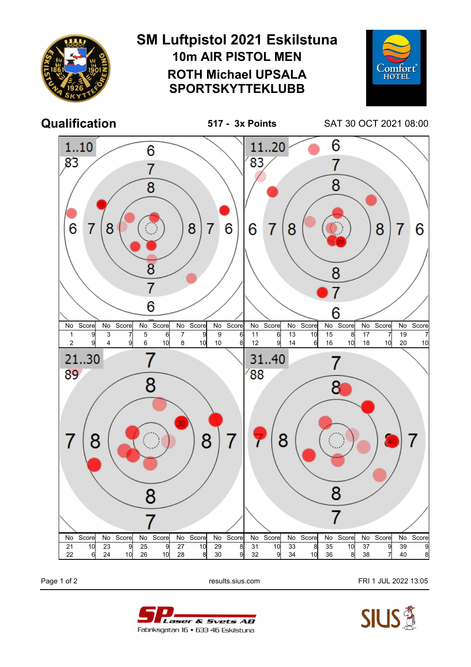

Page 1 of 2 **Page 1 of 2** results.sius.com **FRI 1 JUL 2022 13:05**